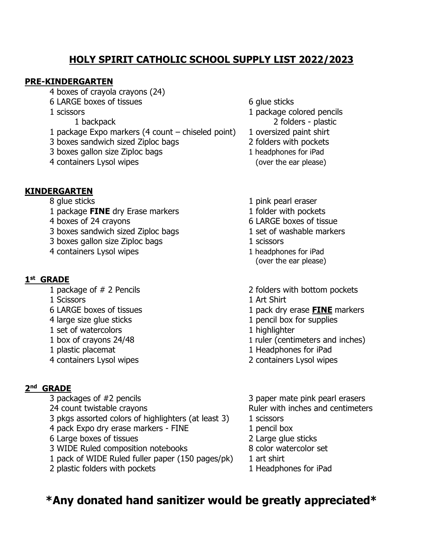## **HOLY SPIRIT CATHOLIC SCHOOL SUPPLY LIST 2022/2023**

#### **PRE-KINDERGARTEN**

- 4 boxes of crayola crayons (24)
- 6 LARGE boxes of tissues 6 G ulue sticks
- -
- 1 package Expo markers (4 count chiseled point) 1 oversized paint shirt
- 3 boxes sandwich sized Ziploc bags 2 folders with pockets
- 3 boxes gallon size Ziploc bags 1 headphones for iPad
- 4 containers Lysol wipes (over the ear please)

### **KINDERGARTEN**

- 
- 1 package **FINE** dry Erase markers 1 folder with pockets
- 
- 3 boxes sandwich sized Ziploc bags 1 set of washable markers
- 3 boxes gallon size Ziploc bags 1 scissors 1 scissors
- 4 containers Lysol wipes 1 headphones for iPad

### **1 st GRADE**

- 
- 
- 
- 
- 1 set of watercolors and the set of watercolors and the set of watercolors and the set of  $\mu$  highlighter
- 
- 
- 

### **2 nd GRADE**

- 
- 
- 3 pkgs assorted colors of highlighters (at least 3) 1 scissors
- 4 pack Expo dry erase markers FINE 1 pencil box
- 6 Large boxes of tissues 2 Large glue sticks
- 3 WIDE Ruled composition notebooks 8 color watercolor set
- 1 pack of WIDE Ruled fuller paper (150 pages/pk) 1 art shirt
- 2 plastic folders with pockets 1 Headphones for iPad
- 
- 1 scissors 1 package colored pencils 1 backpack 2 folders - plastic
	-
	-
	-
	-
- 8 glue sticks and the sticks of the sticks of the sticks of the state of the sticks of the sticks of the stick of the sticks of the sticks of the sticks of the sticks of the sticks of the sticks of the sticks of the sticks
	-
- 4 boxes of 24 cravons 6 LARGE boxes of tissue
	-
	-
	- (over the ear please)
- 1 package of # 2 Pencils 2 folders with bottom pockets
- 1 Scissors 1 Art Shirt
- 6 LARGE boxes of tissues 1 pack dry erase **FINE** markers
- 4 large size glue sticks 1 pencil box for supplies
	-
- 1 box of crayons 24/48 1 ruler (centimeters and inches)
- 1 plastic placemat 1 Headphones for iPad
- 4 containers Lysol wipes 2 containers Lysol wipes
- 3 packages of #2 pencils 3 paper mate pink pearl erasers 24 count twistable crayons **Exercise 24** count twistable crayons
	-
	-
	-
	-
	-
	-

# **\*Any donated hand sanitizer would be greatly appreciated\***